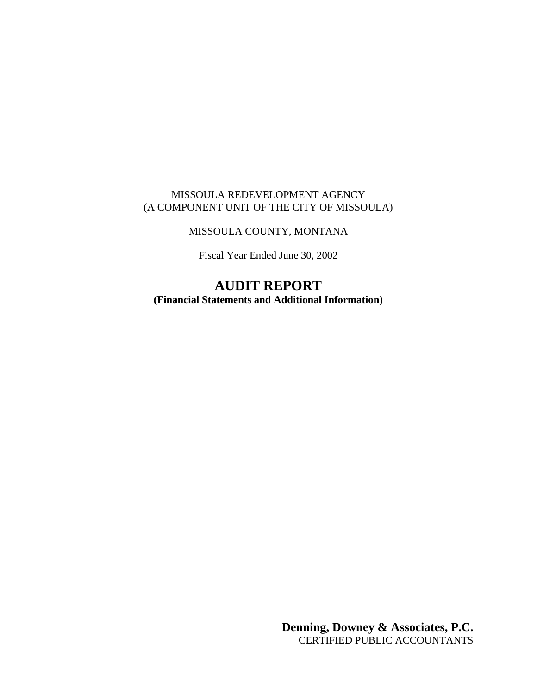# MISSOULA REDEVELOPMENT AGENCY (A COMPONENT UNIT OF THE CITY OF MISSOULA)

# MISSOULA COUNTY, MONTANA

Fiscal Year Ended June 30, 2002

# **AUDIT REPORT (Financial Statements and Additional Information)**

**Denning, Downey & Associates, P.C.** CERTIFIED PUBLIC ACCOUNTANTS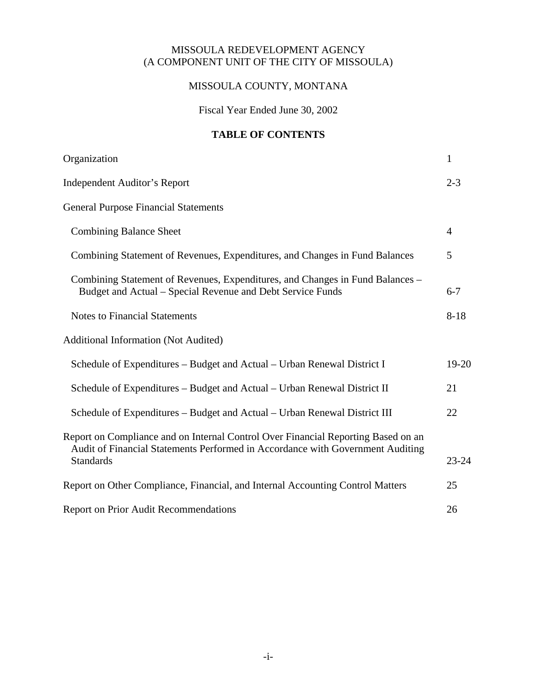# MISSOULA REDEVELOPMENT AGENCY (A COMPONENT UNIT OF THE CITY OF MISSOULA)

# MISSOULA COUNTY, MONTANA

Fiscal Year Ended June 30, 2002

# **TABLE OF CONTENTS**

| Organization                                                                                                                                                        | $\mathbf{1}$   |
|---------------------------------------------------------------------------------------------------------------------------------------------------------------------|----------------|
| <b>Independent Auditor's Report</b>                                                                                                                                 | $2 - 3$        |
| <b>General Purpose Financial Statements</b>                                                                                                                         |                |
| <b>Combining Balance Sheet</b>                                                                                                                                      | $\overline{4}$ |
| Combining Statement of Revenues, Expenditures, and Changes in Fund Balances                                                                                         | 5              |
| Combining Statement of Revenues, Expenditures, and Changes in Fund Balances -<br>Budget and Actual – Special Revenue and Debt Service Funds                         | $6 - 7$        |
| <b>Notes to Financial Statements</b>                                                                                                                                | $8 - 18$       |
| <b>Additional Information (Not Audited)</b>                                                                                                                         |                |
| Schedule of Expenditures – Budget and Actual – Urban Renewal District I                                                                                             | $19-20$        |
| Schedule of Expenditures – Budget and Actual – Urban Renewal District II                                                                                            | 21             |
| Schedule of Expenditures – Budget and Actual – Urban Renewal District III                                                                                           | 22             |
| Report on Compliance and on Internal Control Over Financial Reporting Based on an<br>Audit of Financial Statements Performed in Accordance with Government Auditing |                |
| <b>Standards</b>                                                                                                                                                    | $23 - 24$      |
| Report on Other Compliance, Financial, and Internal Accounting Control Matters                                                                                      | 25             |
| <b>Report on Prior Audit Recommendations</b>                                                                                                                        | 26             |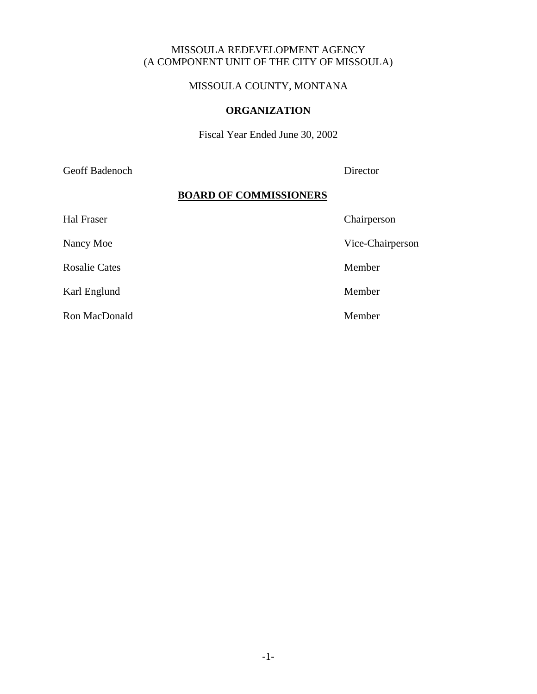# MISSOULA REDEVELOPMENT AGENCY (A COMPONENT UNIT OF THE CITY OF MISSOULA)

# MISSOULA COUNTY, MONTANA

#### **ORGANIZATION**

Fiscal Year Ended June 30, 2002

Geoff Badenoch Director

## **BOARD OF COMMISSIONERS**

| Hal Fraser           | Chairperson      |
|----------------------|------------------|
| Nancy Moe            | Vice-Chairperson |
| <b>Rosalie Cates</b> | Member           |
| Karl Englund         | Member           |
| Ron MacDonald        | Member           |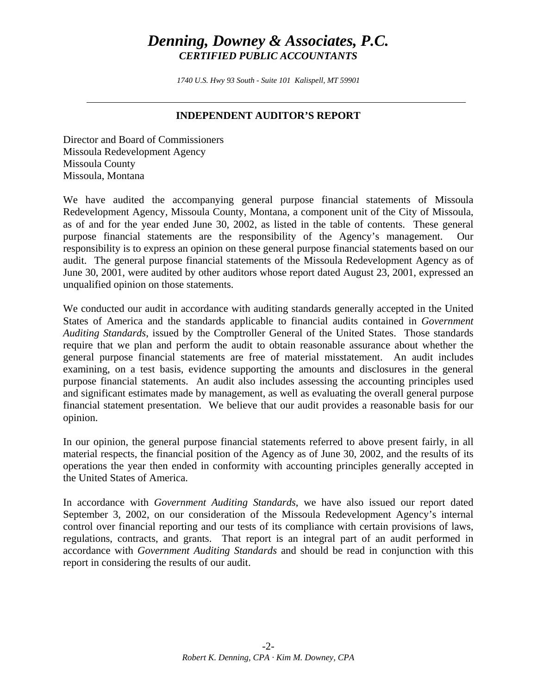*1740 U.S. Hwy 93 South - Suite 101 Kalispell, MT 59901* 

# **INDEPENDENT AUDITOR'S REPORT**

Director and Board of Commissioners Missoula Redevelopment Agency Missoula County Missoula, Montana

We have audited the accompanying general purpose financial statements of Missoula Redevelopment Agency, Missoula County, Montana, a component unit of the City of Missoula, as of and for the year ended June 30, 2002, as listed in the table of contents. These general purpose financial statements are the responsibility of the Agency's management. Our responsibility is to express an opinion on these general purpose financial statements based on our audit. The general purpose financial statements of the Missoula Redevelopment Agency as of June 30, 2001, were audited by other auditors whose report dated August 23, 2001, expressed an unqualified opinion on those statements.

We conducted our audit in accordance with auditing standards generally accepted in the United States of America and the standards applicable to financial audits contained in *Government Auditing Standards*, issued by the Comptroller General of the United States. Those standards require that we plan and perform the audit to obtain reasonable assurance about whether the general purpose financial statements are free of material misstatement. An audit includes examining, on a test basis, evidence supporting the amounts and disclosures in the general purpose financial statements. An audit also includes assessing the accounting principles used and significant estimates made by management, as well as evaluating the overall general purpose financial statement presentation. We believe that our audit provides a reasonable basis for our opinion.

In our opinion, the general purpose financial statements referred to above present fairly, in all material respects, the financial position of the Agency as of June 30, 2002, and the results of its operations the year then ended in conformity with accounting principles generally accepted in the United States of America.

In accordance with *Government Auditing Standards*, we have also issued our report dated September 3, 2002, on our consideration of the Missoula Redevelopment Agency's internal control over financial reporting and our tests of its compliance with certain provisions of laws, regulations, contracts, and grants. That report is an integral part of an audit performed in accordance with *Government Auditing Standards* and should be read in conjunction with this report in considering the results of our audit.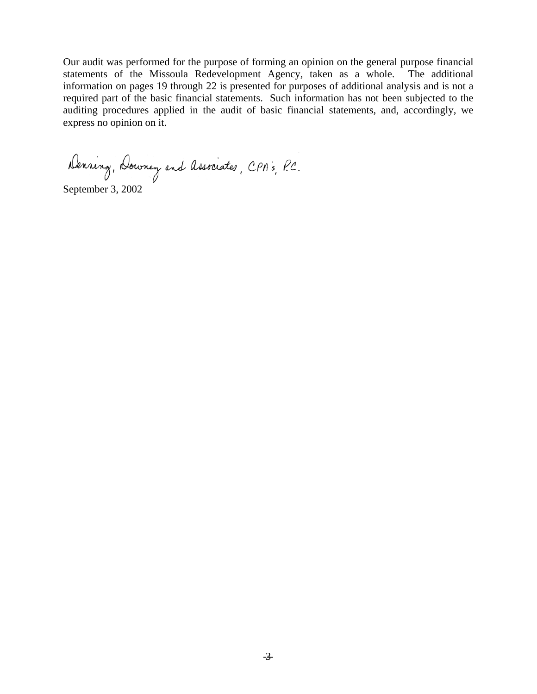Our audit was performed for the purpose of forming an opinion on the general purpose financial statements of the Missoula Redevelopment Agency, taken as a whole. The additional information on pages 19 through 22 is presented for purposes of additional analysis and is not a required part of the basic financial statements. Such information has not been subjected to the auditing procedures applied in the audit of basic financial statements, and, accordingly, we express no opinion on it.

Denning, Downey and Associates, CPA's, P.C.

September 3, 2002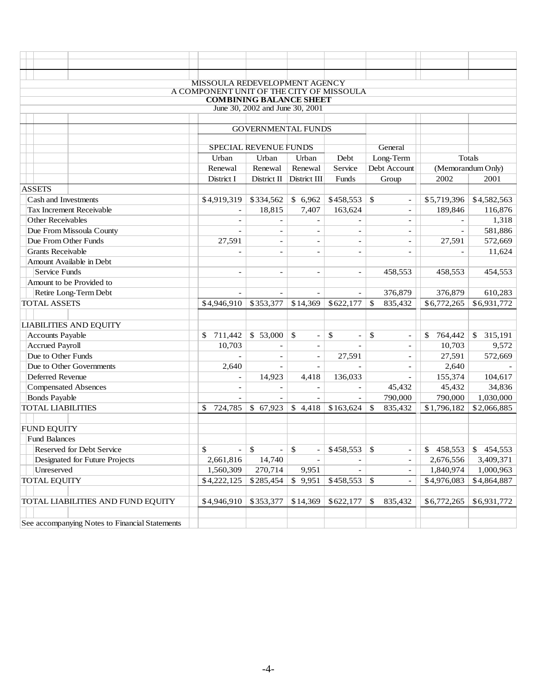|                                                | MISSOULA REDEVELOPMENT AGENCY<br>A COMPONENT UNIT OF THE CITY OF MISSOULA |                                 |                                    |                                |                                |                          |                   |
|------------------------------------------------|---------------------------------------------------------------------------|---------------------------------|------------------------------------|--------------------------------|--------------------------------|--------------------------|-------------------|
|                                                |                                                                           | <b>COMBINING BALANCE SHEET</b>  |                                    |                                |                                |                          |                   |
|                                                |                                                                           | June 30, 2002 and June 30, 2001 |                                    |                                |                                |                          |                   |
|                                                |                                                                           |                                 |                                    |                                |                                |                          |                   |
|                                                |                                                                           | <b>GOVERNMENTAL FUNDS</b>       |                                    |                                |                                |                          |                   |
|                                                |                                                                           | SPECIAL REVENUE FUNDS           |                                    |                                | General                        |                          |                   |
|                                                | Urban                                                                     | Urban                           | Urban                              | Debt                           | Long-Term                      |                          | Totals            |
|                                                | Renewal                                                                   | Renewal                         | Renewal                            | Service                        | Debt Account                   |                          | (Memorandum Only) |
|                                                | District I                                                                | District II                     | District III                       | Funds                          | Group                          | 2002                     | 2001              |
| <b>ASSETS</b>                                  |                                                                           |                                 |                                    |                                |                                |                          |                   |
| Cash and Investments                           | \$4,919,319                                                               | \$334,562                       | \$6,962                            | \$458,553                      | \$<br>$\overline{\phantom{a}}$ | \$5,719,396              | \$4,582,563       |
| Tax Increment Receivable                       | $\overline{\phantom{a}}$                                                  | 18,815                          | 7,407                              | 163,624                        | $\overline{\phantom{a}}$       | 189,846                  | 116,876           |
| <b>Other Receivables</b>                       | $\overline{\phantom{a}}$                                                  | $\blacksquare$                  | $\overline{\phantom{0}}$           |                                | $\overline{\phantom{a}}$       |                          | 1,318             |
| Due From Missoula County                       | $\overline{\phantom{a}}$                                                  | $\overline{\phantom{a}}$        | $\overline{\phantom{a}}$           | $\overline{\phantom{a}}$       | $\overline{\phantom{a}}$       | $\overline{\phantom{a}}$ | 581,886           |
| Due From Other Funds                           | 27,591                                                                    | $\overline{\phantom{a}}$        | $\overline{\phantom{a}}$           | $\overline{\phantom{a}}$       | $\overline{\phantom{a}}$       | 27,591                   | 572,669           |
| <b>Grants Receivable</b>                       |                                                                           | $\overline{\phantom{a}}$        | $\overline{\phantom{a}}$           | $\overline{\phantom{a}}$       | $\overline{\phantom{a}}$       | $\overline{\phantom{a}}$ | 11,624            |
| Amount Available in Debt                       |                                                                           |                                 |                                    |                                |                                |                          |                   |
| <b>Service Funds</b>                           | $\overline{a}$                                                            | $\overline{\phantom{a}}$        | $\overline{\phantom{a}}$           | $\overline{\phantom{a}}$       | 458,553                        | 458,553                  | 454,553           |
| Amount to be Provided to                       |                                                                           |                                 |                                    |                                |                                |                          |                   |
| Retire Long-Term Debt                          |                                                                           |                                 |                                    |                                | 376,879                        | 376,879                  | 610,283           |
| <b>TOTAL ASSETS</b>                            | \$4,946,910                                                               | \$353,377                       | \$14,369                           | \$622,177                      | \$<br>835,432                  | \$6,772,265              | \$6,931,772       |
|                                                |                                                                           |                                 |                                    |                                |                                |                          |                   |
| <b>LIABILITIES AND EQUITY</b>                  |                                                                           |                                 |                                    |                                |                                |                          |                   |
| <b>Accounts Payable</b>                        | 711,442<br>\$                                                             | \$53,000                        | $\mathcal{S}$<br>$\qquad \qquad -$ | \$<br>$\overline{\phantom{a}}$ | \$<br>$\overline{\phantom{a}}$ | 764,442<br>\$            | 315,191<br>\$     |
| <b>Accrued Payroll</b>                         | 10,703                                                                    |                                 | $\overline{\phantom{a}}$           |                                | $\overline{\phantom{a}}$       | 10,703                   | 9,572             |
| Due to Other Funds                             |                                                                           | $\overline{a}$                  | $\overline{\phantom{a}}$           | 27,591                         | $\overline{\phantom{a}}$       | 27,591                   | 572,669           |
| Due to Other Governments                       | 2,640                                                                     |                                 | $\overline{\phantom{a}}$           |                                | $\overline{\phantom{a}}$       | 2,640                    |                   |
| Deferred Revenue                               |                                                                           | 14,923                          | 4,418                              | 136,033                        |                                | 155,374                  | 104,617           |
| <b>Compensated Absences</b>                    |                                                                           |                                 | $\overline{\phantom{a}}$           |                                | 45,432                         | 45,432                   | 34,836            |
| <b>Bonds Payable</b>                           |                                                                           |                                 | $\blacksquare$                     | $\equiv$                       | 790,000                        | 790,000                  | 1,030,000         |
| <b>TOTAL LIABILITIES</b>                       | \$<br>724,785                                                             | \$67,923                        | \$4,418                            | \$163,624                      | \$<br>835,432                  | \$1,796,182              | \$2,066,885       |
| <b>FUND EQUITY</b>                             |                                                                           |                                 |                                    |                                |                                |                          |                   |
| <b>Fund Balances</b>                           |                                                                           |                                 |                                    |                                |                                |                          |                   |
| Reserved for Debt Service                      | \$<br>$\overline{\phantom{0}}$                                            | \$<br>$\overline{\phantom{a}}$  | \$                                 | \$458,553                      | \$                             | 458,553<br>S             | 454,553<br>\$     |
| Designated for Future Projects                 | 2,661,816                                                                 | 14,740                          |                                    |                                |                                | 2,676,556                | 3,409,371         |
| Unreserved                                     | 1,560,309                                                                 | 270,714                         | 9,951                              |                                |                                | 1,840,974                | 1,000,963         |
| <b>TOTAL EQUITY</b>                            | \$4,222,125                                                               | \$285,454                       | \$9,951                            | \$458,553                      | \$                             | \$4,976,083              | \$4,864,887       |
|                                                |                                                                           |                                 |                                    |                                |                                |                          |                   |
| TOTAL LIABILITIES AND FUND EQUITY              | \$4,946,910                                                               | \$353,377                       | \$14,369                           | \$622,177                      | 835,432<br>\$                  | \$6,772,265              | \$6,931,772       |
|                                                |                                                                           |                                 |                                    |                                |                                |                          |                   |
| See accompanying Notes to Financial Statements |                                                                           |                                 |                                    |                                |                                |                          |                   |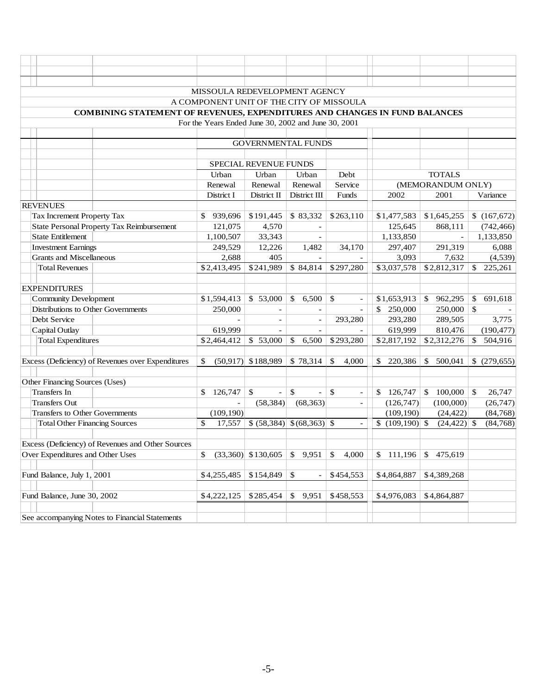|                                                                            | MISSOULA REDEVELOPMENT AGENCY                       |                           |                                                         |                                |                 |                   |                          |
|----------------------------------------------------------------------------|-----------------------------------------------------|---------------------------|---------------------------------------------------------|--------------------------------|-----------------|-------------------|--------------------------|
|                                                                            | A COMPONENT UNIT OF THE CITY OF MISSOULA            |                           |                                                         |                                |                 |                   |                          |
| COMBINING STATEMENT OF REVENUES, EXPENDITURES AND CHANGES IN FUND BALANCES |                                                     |                           |                                                         |                                |                 |                   |                          |
|                                                                            | For the Years Ended June 30, 2002 and June 30, 2001 |                           |                                                         |                                |                 |                   |                          |
|                                                                            |                                                     |                           |                                                         |                                |                 |                   |                          |
|                                                                            |                                                     | <b>GOVERNMENTAL FUNDS</b> |                                                         |                                |                 |                   |                          |
|                                                                            |                                                     |                           |                                                         |                                |                 |                   |                          |
|                                                                            |                                                     | SPECIAL REVENUE FUNDS     |                                                         |                                |                 |                   |                          |
|                                                                            | Urban                                               | Urban                     | Urban                                                   | Debt                           |                 | <b>TOTALS</b>     |                          |
|                                                                            | Renewal                                             | Renewal                   | Renewal                                                 | Service                        |                 | (MEMORANDUM ONLY) |                          |
|                                                                            | District I                                          | District II               | District III                                            | Funds                          | 2002            | 2001              | Variance                 |
| <b>REVENUES</b>                                                            |                                                     |                           |                                                         |                                |                 |                   |                          |
| Tax Increment Property Tax                                                 | \$<br>939,696                                       | \$191,445                 | \$83,332                                                | \$263,110                      | \$1,477,583     | \$1,645,255       | \$(167,672)              |
| <b>State Personal Property Tax Reimbursement</b>                           | 121,075                                             | 4,570                     |                                                         |                                | 125,645         | 868,111           | (742, 466)               |
| <b>State Entitlement</b>                                                   | 1,100,507                                           | 33,343                    | $\overline{\phantom{a}}$                                |                                | 1,133,850       |                   | 1,133,850                |
| <b>Investment Earnings</b>                                                 | 249,529                                             | 12,226                    | 1,482                                                   | 34,170                         | 297,407         | 291,319           | 6,088                    |
| Grants and Miscellaneous                                                   | 2,688                                               | 405                       |                                                         |                                | 3,093           | 7,632             | (4,539)                  |
| <b>Total Revenues</b>                                                      | \$2,413,495                                         | \$241,989                 | \$84,814                                                | \$297,280                      | \$3,037,578     | \$2,812,317       | 225,261<br>\$            |
|                                                                            |                                                     |                           |                                                         |                                |                 |                   |                          |
| <b>EXPENDITURES</b>                                                        |                                                     |                           |                                                         |                                |                 |                   |                          |
| <b>Community Development</b>                                               | \$1,594,413                                         | \$53,000                  | $\mathbb{S}$<br>6,500                                   | \$                             | \$1,653,913     | \$<br>962,295     | 691,618<br>\$            |
| Distributions to Other Governments                                         | 250,000                                             |                           |                                                         |                                | \$250,000       | 250,000           | $\mathbb{S}$             |
| Debt Service                                                               |                                                     |                           |                                                         | 293,280                        | 293,280         | 289,505           | 3,775                    |
| Capital Outlay                                                             | 619,999                                             |                           |                                                         |                                | 619,999         | 810,476           | (190, 477)               |
| <b>Total Expenditures</b>                                                  | \$2,464,412                                         | \$53,000                  | $\mathbb{S}$<br>6,500                                   | \$293,280                      | \$2,817,192     | \$2,312,276       | $\mathcal{S}$<br>504,916 |
|                                                                            |                                                     |                           |                                                         |                                |                 |                   |                          |
| Excess (Deficiency) of Revenues over Expenditures                          | \$                                                  | $(50,917)$ \$188,989      | \$78,314                                                | \$<br>4,000                    | 220,386<br>\$   | \$500,041         | \$(279,655)              |
|                                                                            |                                                     |                           |                                                         |                                |                 |                   |                          |
| Other Financing Sources (Uses)                                             |                                                     |                           |                                                         |                                |                 |                   |                          |
| <b>Transfers</b> In                                                        | \$<br>126,747                                       | $\mathbb{S}$<br>$\equiv$  | $\mathbb{S}$<br>$\equiv$                                | \$<br>$\overline{\phantom{a}}$ | \$126,747       | 100,000<br>\$     | $\mathcal{S}$<br>26,747  |
| <b>Transfers Out</b>                                                       |                                                     | (58, 384)                 | (68, 363)                                               | $\blacksquare$                 | (126, 747)      | (100,000)         | (26, 747)                |
| <b>Transfers to Other Governments</b>                                      | (109, 190)                                          |                           |                                                         |                                | (109, 190)      | (24, 422)         | (84, 768)                |
| <b>Total Other Financing Sources</b>                                       | $\mathcal{S}$<br>17,557                             |                           | $\frac{1}{2}$ (58,384) $\frac{1}{2}$ (68,363) \ \ \ \ \ | $\overline{\phantom{a}}$       | $(109, 190)$ \$ | $(24, 422)$ \$    | (84, 768)                |
|                                                                            |                                                     |                           |                                                         |                                |                 |                   |                          |
| Excess (Deficiency) of Revenues and Other Sources                          |                                                     |                           |                                                         |                                |                 |                   |                          |
| Over Expenditures and Other Uses                                           | \$                                                  | $(33,360)$ \$130,605      | \$<br>9,951                                             | \$<br>4,000                    | 111,196<br>\$   | \$<br>475,619     |                          |
|                                                                            |                                                     |                           |                                                         |                                |                 |                   |                          |
| Fund Balance, July 1, 2001                                                 | \$4,255,485                                         | \$154,849                 | \$<br>$\overline{\phantom{a}}$                          | \$454,553                      | \$4,864,887     | \$4,389,268       |                          |
|                                                                            |                                                     |                           |                                                         |                                |                 |                   |                          |
| Fund Balance, June 30, 2002                                                | \$4,222,125                                         | \$285,454                 | 9,951<br>\$                                             | \$458,553                      | \$4,976,083     | \$4,864,887       |                          |
|                                                                            |                                                     |                           |                                                         |                                |                 |                   |                          |
| See accompanying Notes to Financial Statements                             |                                                     |                           |                                                         |                                |                 |                   |                          |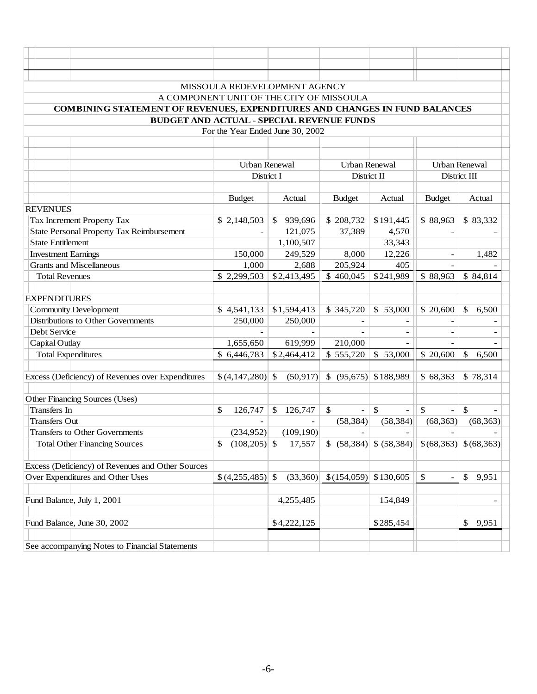|                            | MISSOULA REDEVELOPMENT AGENCY                                              |                                          |              |             |               |                          |                          |                                                     |                      |                          |
|----------------------------|----------------------------------------------------------------------------|------------------------------------------|--------------|-------------|---------------|--------------------------|--------------------------|-----------------------------------------------------|----------------------|--------------------------|
|                            |                                                                            | A COMPONENT UNIT OF THE CITY OF MISSOULA |              |             |               |                          |                          |                                                     |                      |                          |
|                            | COMBINING STATEMENT OF REVENUES, EXPENDITURES AND CHANGES IN FUND BALANCES |                                          |              |             |               |                          |                          |                                                     |                      |                          |
|                            | <b>BUDGET AND ACTUAL - SPECIAL REVENUE FUNDS</b>                           |                                          |              |             |               |                          |                          |                                                     |                      |                          |
|                            |                                                                            | For the Year Ended June 30, 2002         |              |             |               |                          |                          |                                                     |                      |                          |
|                            |                                                                            |                                          |              |             |               |                          |                          |                                                     |                      |                          |
|                            |                                                                            |                                          |              |             |               |                          |                          |                                                     |                      |                          |
|                            |                                                                            | <b>Urban Renewal</b>                     |              |             |               |                          | Urban Renewal            |                                                     | <b>Urban Renewal</b> |                          |
|                            |                                                                            | District I                               |              |             |               | District II              |                          |                                                     | District III         |                          |
|                            |                                                                            |                                          |              |             |               |                          |                          |                                                     |                      |                          |
|                            |                                                                            | <b>Budget</b>                            |              | Actual      | <b>Budget</b> |                          | Actual                   | <b>Budget</b>                                       | Actual               |                          |
| <b>REVENUES</b>            |                                                                            |                                          |              |             |               |                          |                          |                                                     |                      |                          |
|                            | Tax Increment Property Tax                                                 | \$2,148,503                              | $\mathbb{S}$ | 939,696     | \$208,732     |                          | \$191,445                | \$88,963                                            | \$83,332             |                          |
|                            | <b>State Personal Property Tax Reimbursement</b>                           |                                          |              | 121,075     | 37,389        |                          | 4,570                    |                                                     |                      |                          |
| <b>State Entitlement</b>   |                                                                            |                                          |              | 1,100,507   |               |                          | 33,343                   |                                                     |                      |                          |
| <b>Investment Earnings</b> |                                                                            | 150,000                                  |              | 249,529     | 8,000         |                          | 12,226                   | $\overline{\phantom{a}}$                            | 1,482                |                          |
|                            | <b>Grants and Miscellaneous</b>                                            | 1,000                                    |              | 2,688       | 205,924       |                          | 405                      |                                                     |                      |                          |
| <b>Total Revenues</b>      |                                                                            | \$2,299,503                              |              | \$2,413,495 | \$460,045     |                          | \$241,989                | \$88,963                                            | \$84,814             |                          |
|                            |                                                                            |                                          |              |             |               |                          |                          |                                                     |                      |                          |
| <b>EXPENDITURES</b>        |                                                                            |                                          |              |             |               |                          |                          |                                                     |                      |                          |
|                            | <b>Community Development</b>                                               | \$4,541,133                              |              | \$1,594,413 | \$345,720     |                          | \$53,000                 | \$20,600                                            | \$<br>6,500          |                          |
|                            | Distributions to Other Governments                                         | 250,000                                  |              | 250,000     |               |                          |                          |                                                     |                      |                          |
| Debt Service               |                                                                            |                                          |              |             |               |                          | $\blacksquare$           | $\overline{\phantom{a}}$                            |                      | $\overline{\phantom{a}}$ |
| Capital Outlay             |                                                                            | 1,655,650                                |              | 619,999     | 210,000       |                          | $\overline{\phantom{a}}$ |                                                     |                      |                          |
|                            | <b>Total Expenditures</b>                                                  | \$6,446,783                              |              | \$2,464,412 | \$555,720     |                          | \$53,000                 | \$ 20,600                                           | \$<br>6,500          |                          |
|                            |                                                                            |                                          |              |             |               |                          |                          |                                                     |                      |                          |
|                            | Excess (Deficiency) of Revenues over Expenditures                          | $$ (4,147,280)$ \\$                      |              | (50, 917)   |               |                          | \$ (95,675) \$188,989    | \$68,363                                            | \$78,314             |                          |
|                            |                                                                            |                                          |              |             |               |                          |                          |                                                     |                      |                          |
|                            | Other Financing Sources (Uses)                                             |                                          |              |             |               |                          |                          |                                                     |                      |                          |
| <b>Transfers</b> In        |                                                                            | \$<br>126,747                            | $\mathbb{S}$ | 126,747     | \$            | $\overline{\phantom{a}}$ | \$<br>$\qquad \qquad -$  | $\mathbb{S}$                                        | $\mathbb{S}$         |                          |
| <b>Transfers Out</b>       |                                                                            |                                          |              |             | (58, 384)     |                          | (58, 384)                | (68, 363)                                           | (68, 363)            |                          |
|                            | <b>Transfers to Other Governments</b>                                      | (234,952)                                |              | (109, 190)  |               | $\overline{\phantom{a}}$ | $\overline{\phantom{a}}$ | $\overline{\phantom{a}}$                            |                      |                          |
|                            | <b>Total Other Financing Sources</b>                                       | $(108,205)$ \$<br>\$                     |              | 17,557      | $\mathbb{S}$  |                          | $(58,384)$ \$ $(58,384)$ | $\left  \frac{68,363}{8,68,363} \right $ \ (68,363) |                      |                          |
|                            |                                                                            |                                          |              |             |               |                          |                          |                                                     |                      |                          |
|                            | Excess (Deficiency) of Revenues and Other Sources                          |                                          |              |             |               |                          |                          |                                                     |                      |                          |
|                            | Over Expenditures and Other Uses                                           | \$ (4,255,485)                           | \$           | (33,360)    | \$(154,059)   |                          | \$130,605                | \$<br>$\blacksquare$                                | \$<br>9,951          |                          |
|                            |                                                                            |                                          |              |             |               |                          |                          |                                                     |                      |                          |
|                            | Fund Balance, July 1, 2001                                                 |                                          |              | 4,255,485   |               |                          | 154,849                  |                                                     |                      | $\overline{\phantom{a}}$ |
|                            |                                                                            |                                          |              |             |               |                          |                          |                                                     |                      |                          |
|                            | Fund Balance, June 30, 2002                                                |                                          |              | \$4,222,125 |               |                          | \$285,454                |                                                     | 9,951<br>\$          |                          |
|                            |                                                                            |                                          |              |             |               |                          |                          |                                                     |                      |                          |
|                            | See accompanying Notes to Financial Statements                             |                                          |              |             |               |                          |                          |                                                     |                      |                          |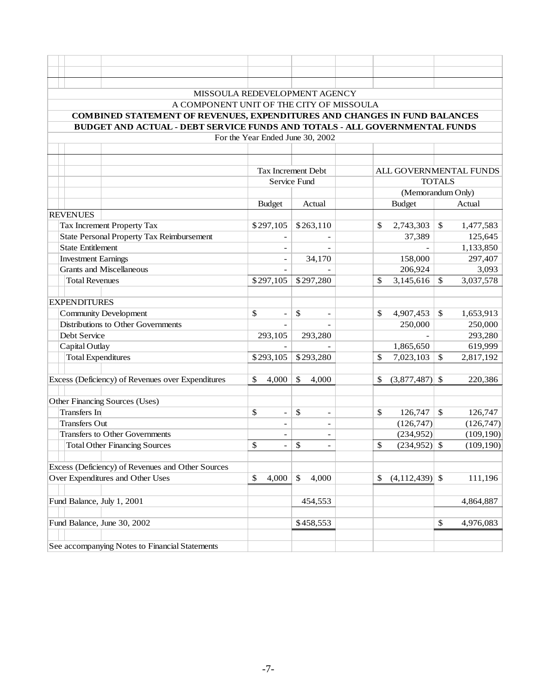|                                             | MISSOULA REDEVELOPMENT AGENCY                                                    |                                  |                                |                              |                           |                      |
|---------------------------------------------|----------------------------------------------------------------------------------|----------------------------------|--------------------------------|------------------------------|---------------------------|----------------------|
|                                             | A COMPONENT UNIT OF THE CITY OF MISSOULA                                         |                                  |                                |                              |                           |                      |
|                                             | <b>COMBINED STATEMENT OF REVENUES, EXPENDITURES AND CHANGES IN FUND BALANCES</b> |                                  |                                |                              |                           |                      |
|                                             | BUDGET AND ACTUAL - DEBT SERVICE FUNDS AND TOTALS - ALL GOVERNMENTAL FUNDS       |                                  |                                |                              |                           |                      |
|                                             |                                                                                  | For the Year Ended June 30, 2002 |                                |                              |                           |                      |
|                                             |                                                                                  |                                  |                                |                              |                           |                      |
|                                             |                                                                                  |                                  |                                |                              |                           |                      |
|                                             |                                                                                  |                                  | Tax Increment Debt             | ALL GOVERNMENTAL FUNDS       |                           |                      |
|                                             |                                                                                  |                                  | Service Fund                   |                              | <b>TOTALS</b>             |                      |
|                                             |                                                                                  |                                  |                                | (Memorandum Only)            |                           |                      |
|                                             |                                                                                  | <b>Budget</b>                    | Actual                         | <b>Budget</b>                |                           | Actual               |
| <b>REVENUES</b>                             |                                                                                  |                                  |                                |                              |                           |                      |
|                                             | Tax Increment Property Tax                                                       | \$297,105                        | \$263,110                      | \$<br>2,743,303              | $\mathbb{S}$              | 1,477,583            |
|                                             | <b>State Personal Property Tax Reimbursement</b>                                 |                                  |                                | 37,389                       |                           | 125,645              |
| <b>State Entitlement</b>                    |                                                                                  |                                  |                                |                              |                           | 1,133,850            |
| <b>Investment Earnings</b>                  |                                                                                  |                                  | 34,170                         | 158,000                      |                           | 297,407              |
|                                             | <b>Grants and Miscellaneous</b>                                                  |                                  |                                | 206,924                      |                           | 3,093                |
| <b>Total Revenues</b>                       |                                                                                  | \$297,105                        | \$297,280                      | \$<br>3,145,616              | \$                        | 3,037,578            |
|                                             |                                                                                  |                                  |                                |                              |                           |                      |
| <b>EXPENDITURES</b>                         |                                                                                  |                                  |                                |                              |                           |                      |
|                                             | <b>Community Development</b>                                                     | \$<br>$\overline{\phantom{0}}$   | \$                             | \$<br>4,907,453              | <sup>\$</sup>             | 1,653,913            |
|                                             | Distributions to Other Governments                                               |                                  |                                | 250,000                      |                           | 250,000              |
| Debt Service                                |                                                                                  | 293,105                          | 293,280                        |                              |                           | 293,280              |
| Capital Outlay<br><b>Total Expenditures</b> |                                                                                  | \$293,105                        | \$293,280                      | 1,865,650<br>\$<br>7,023,103 | $\mathcal{S}$             | 619,999<br>2,817,192 |
|                                             |                                                                                  |                                  |                                |                              |                           |                      |
|                                             | Excess (Deficiency) of Revenues over Expenditures                                | \$<br>4,000                      | \$<br>4,000                    | $(3,877,487)$ \$<br>\$       |                           | 220,386              |
|                                             |                                                                                  |                                  |                                |                              |                           |                      |
|                                             | Other Financing Sources (Uses)                                                   |                                  |                                |                              |                           |                      |
| Transfers In                                |                                                                                  | \$<br>$\qquad \qquad -$          | \$<br>$\overline{\phantom{a}}$ | $\mathbb{S}$<br>126,747      | $\mathcal{S}$             | 126,747              |
| <b>Transfers Out</b>                        |                                                                                  | $\overline{\phantom{a}}$         | $\overline{\phantom{a}}$       | (126,747)                    |                           | (126, 747)           |
|                                             | <b>Transfers to Other Governments</b>                                            | $\overline{\phantom{a}}$         | $\overline{\phantom{a}}$       | (234,952)                    |                           | (109, 190)           |
|                                             | <b>Total Other Financing Sources</b>                                             | \$                               | \$                             | $(234,952)$ \$<br>\$         |                           | (109, 190)           |
|                                             |                                                                                  |                                  |                                |                              |                           |                      |
|                                             | Excess (Deficiency) of Revenues and Other Sources                                |                                  |                                |                              |                           |                      |
|                                             | Over Expenditures and Other Uses                                                 | \$<br>4,000                      | $\mathbb{S}$<br>4,000          | $(4,112,439)$ \$<br>\$       |                           | 111,196              |
|                                             |                                                                                  |                                  |                                |                              |                           |                      |
|                                             | Fund Balance, July 1, 2001                                                       |                                  | 454,553                        |                              |                           | 4,864,887            |
|                                             |                                                                                  |                                  |                                |                              |                           |                      |
|                                             | Fund Balance, June 30, 2002                                                      |                                  | \$458,553                      |                              | $\boldsymbol{\mathsf{S}}$ | 4,976,083            |
|                                             |                                                                                  |                                  |                                |                              |                           |                      |
|                                             | See accompanying Notes to Financial Statements                                   |                                  |                                |                              |                           |                      |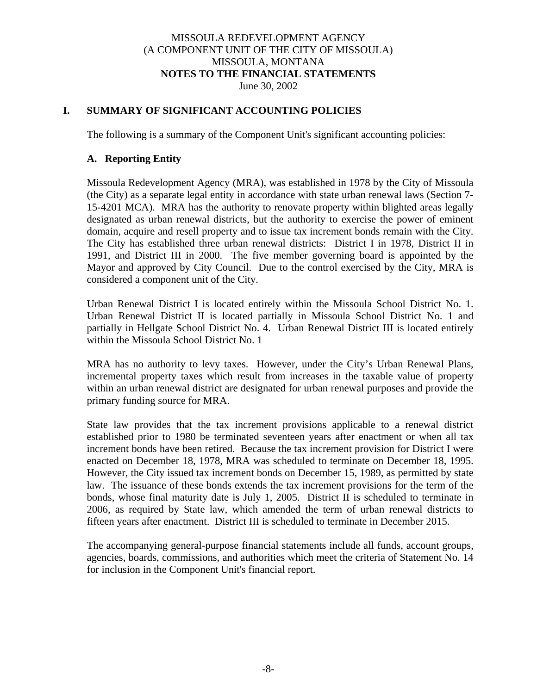### MISSOULA REDEVELOPMENT AGENCY (A COMPONENT UNIT OF THE CITY OF MISSOULA) MISSOULA, MONTANA **NOTES TO THE FINANCIAL STATEMENTS** June 30, 2002

## **I. SUMMARY OF SIGNIFICANT ACCOUNTING POLICIES**

The following is a summary of the Component Unit's significant accounting policies:

#### **A. Reporting Entity**

Missoula Redevelopment Agency (MRA), was established in 1978 by the City of Missoula (the City) as a separate legal entity in accordance with state urban renewal laws (Section 7- 15-4201 MCA). MRA has the authority to renovate property within blighted areas legally designated as urban renewal districts, but the authority to exercise the power of eminent domain, acquire and resell property and to issue tax increment bonds remain with the City. The City has established three urban renewal districts: District I in 1978, District II in 1991, and District III in 2000. The five member governing board is appointed by the Mayor and approved by City Council. Due to the control exercised by the City, MRA is considered a component unit of the City.

Urban Renewal District I is located entirely within the Missoula School District No. 1. Urban Renewal District II is located partially in Missoula School District No. 1 and partially in Hellgate School District No. 4. Urban Renewal District III is located entirely within the Missoula School District No. 1

MRA has no authority to levy taxes. However, under the City's Urban Renewal Plans, incremental property taxes which result from increases in the taxable value of property within an urban renewal district are designated for urban renewal purposes and provide the primary funding source for MRA.

State law provides that the tax increment provisions applicable to a renewal district established prior to 1980 be terminated seventeen years after enactment or when all tax increment bonds have been retired. Because the tax increment provision for District I were enacted on December 18, 1978, MRA was scheduled to terminate on December 18, 1995. However, the City issued tax increment bonds on December 15, 1989, as permitted by state law. The issuance of these bonds extends the tax increment provisions for the term of the bonds, whose final maturity date is July 1, 2005. District II is scheduled to terminate in 2006, as required by State law, which amended the term of urban renewal districts to fifteen years after enactment. District III is scheduled to terminate in December 2015.

The accompanying general-purpose financial statements include all funds, account groups, agencies, boards, commissions, and authorities which meet the criteria of Statement No. 14 for inclusion in the Component Unit's financial report.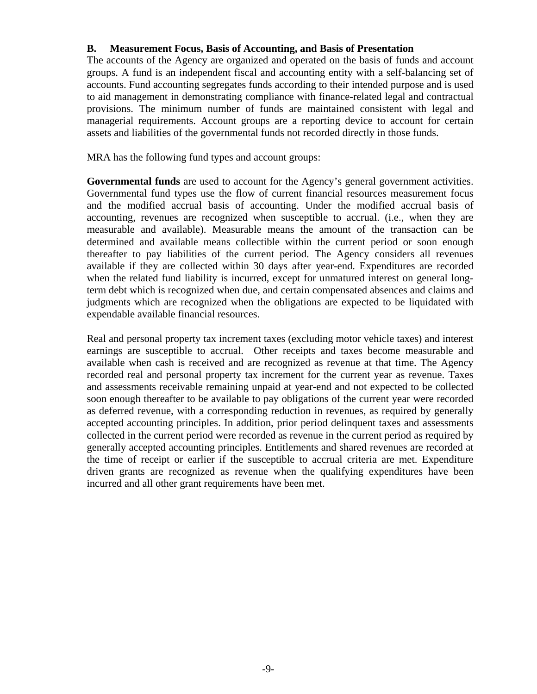## **B. Measurement Focus, Basis of Accounting, and Basis of Presentation**

The accounts of the Agency are organized and operated on the basis of funds and account groups. A fund is an independent fiscal and accounting entity with a self-balancing set of accounts. Fund accounting segregates funds according to their intended purpose and is used to aid management in demonstrating compliance with finance-related legal and contractual provisions. The minimum number of funds are maintained consistent with legal and managerial requirements. Account groups are a reporting device to account for certain assets and liabilities of the governmental funds not recorded directly in those funds.

MRA has the following fund types and account groups:

Governmental funds are used to account for the Agency's general government activities. Governmental fund types use the flow of current financial resources measurement focus and the modified accrual basis of accounting. Under the modified accrual basis of accounting, revenues are recognized when susceptible to accrual. (i.e., when they are measurable and available). Measurable means the amount of the transaction can be determined and available means collectible within the current period or soon enough thereafter to pay liabilities of the current period. The Agency considers all revenues available if they are collected within 30 days after year-end. Expenditures are recorded when the related fund liability is incurred, except for unmatured interest on general longterm debt which is recognized when due, and certain compensated absences and claims and judgments which are recognized when the obligations are expected to be liquidated with expendable available financial resources.

Real and personal property tax increment taxes (excluding motor vehicle taxes) and interest earnings are susceptible to accrual. Other receipts and taxes become measurable and available when cash is received and are recognized as revenue at that time. The Agency recorded real and personal property tax increment for the current year as revenue. Taxes and assessments receivable remaining unpaid at year-end and not expected to be collected soon enough thereafter to be available to pay obligations of the current year were recorded as deferred revenue, with a corresponding reduction in revenues, as required by generally accepted accounting principles. In addition, prior period delinquent taxes and assessments collected in the current period were recorded as revenue in the current period as required by generally accepted accounting principles. Entitlements and shared revenues are recorded at the time of receipt or earlier if the susceptible to accrual criteria are met. Expenditure driven grants are recognized as revenue when the qualifying expenditures have been incurred and all other grant requirements have been met.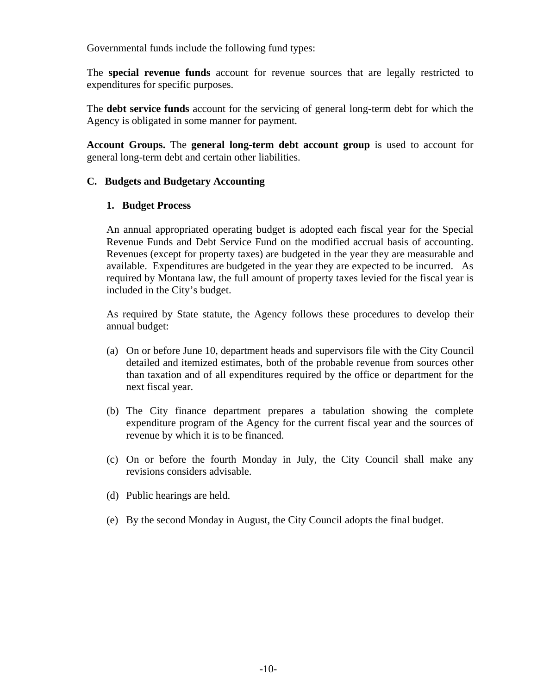Governmental funds include the following fund types:

The **special revenue funds** account for revenue sources that are legally restricted to expenditures for specific purposes.

The **debt service funds** account for the servicing of general long-term debt for which the Agency is obligated in some manner for payment.

**Account Groups.** The **general long-term debt account group** is used to account for general long-term debt and certain other liabilities.

#### **C. Budgets and Budgetary Accounting**

#### **1. Budget Process**

An annual appropriated operating budget is adopted each fiscal year for the Special Revenue Funds and Debt Service Fund on the modified accrual basis of accounting. Revenues (except for property taxes) are budgeted in the year they are measurable and available. Expenditures are budgeted in the year they are expected to be incurred. As required by Montana law, the full amount of property taxes levied for the fiscal year is included in the City's budget.

As required by State statute, the Agency follows these procedures to develop their annual budget:

- (a) On or before June 10, department heads and supervisors file with the City Council detailed and itemized estimates, both of the probable revenue from sources other than taxation and of all expenditures required by the office or department for the next fiscal year.
- (b) The City finance department prepares a tabulation showing the complete expenditure program of the Agency for the current fiscal year and the sources of revenue by which it is to be financed.
- (c) On or before the fourth Monday in July, the City Council shall make any revisions considers advisable.
- (d) Public hearings are held.
- (e) By the second Monday in August, the City Council adopts the final budget.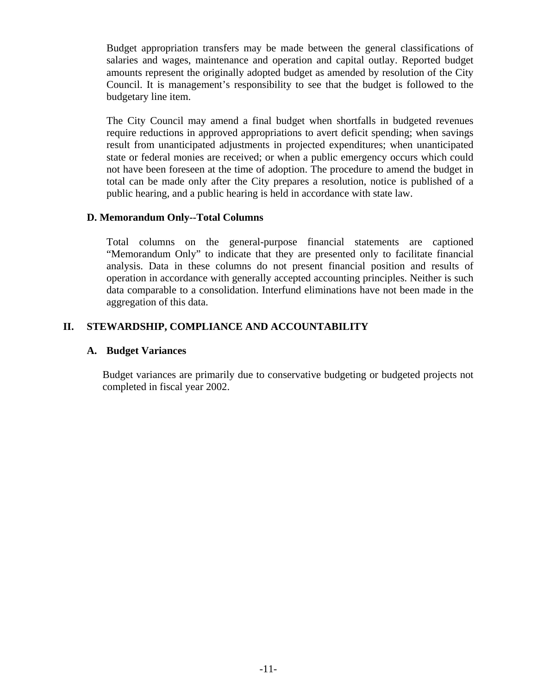Budget appropriation transfers may be made between the general classifications of salaries and wages, maintenance and operation and capital outlay. Reported budget amounts represent the originally adopted budget as amended by resolution of the City Council. It is management's responsibility to see that the budget is followed to the budgetary line item.

The City Council may amend a final budget when shortfalls in budgeted revenues require reductions in approved appropriations to avert deficit spending; when savings result from unanticipated adjustments in projected expenditures; when unanticipated state or federal monies are received; or when a public emergency occurs which could not have been foreseen at the time of adoption. The procedure to amend the budget in total can be made only after the City prepares a resolution, notice is published of a public hearing, and a public hearing is held in accordance with state law.

## **D. Memorandum Only--Total Columns**

Total columns on the general-purpose financial statements are captioned "Memorandum Only" to indicate that they are presented only to facilitate financial analysis. Data in these columns do not present financial position and results of operation in accordance with generally accepted accounting principles. Neither is such data comparable to a consolidation. Interfund eliminations have not been made in the aggregation of this data.

# **II. STEWARDSHIP, COMPLIANCE AND ACCOUNTABILITY**

#### **A. Budget Variances**

Budget variances are primarily due to conservative budgeting or budgeted projects not completed in fiscal year 2002.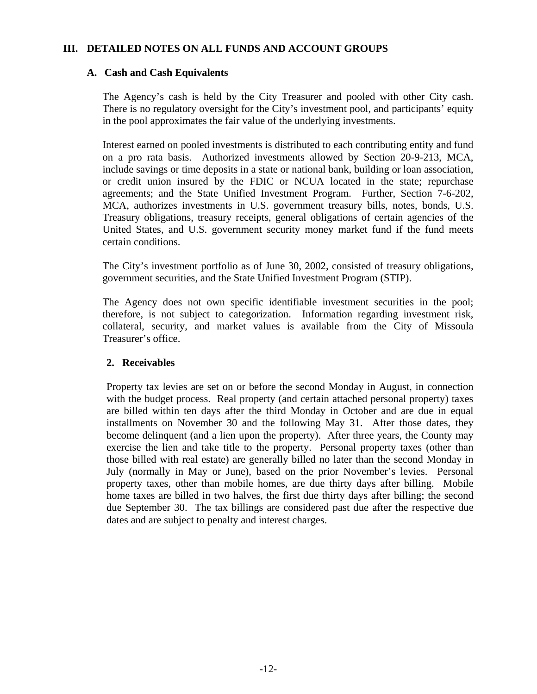## **III. DETAILED NOTES ON ALL FUNDS AND ACCOUNT GROUPS**

#### **A. Cash and Cash Equivalents**

The Agency's cash is held by the City Treasurer and pooled with other City cash. There is no regulatory oversight for the City's investment pool, and participants' equity in the pool approximates the fair value of the underlying investments.

Interest earned on pooled investments is distributed to each contributing entity and fund on a pro rata basis. Authorized investments allowed by Section 20-9-213, MCA, include savings or time deposits in a state or national bank, building or loan association, or credit union insured by the FDIC or NCUA located in the state; repurchase agreements; and the State Unified Investment Program. Further, Section 7-6-202, MCA, authorizes investments in U.S. government treasury bills, notes, bonds, U.S. Treasury obligations, treasury receipts, general obligations of certain agencies of the United States, and U.S. government security money market fund if the fund meets certain conditions.

The City's investment portfolio as of June 30, 2002, consisted of treasury obligations, government securities, and the State Unified Investment Program (STIP).

The Agency does not own specific identifiable investment securities in the pool; therefore, is not subject to categorization. Information regarding investment risk, collateral, security, and market values is available from the City of Missoula Treasurer's office.

#### **2. Receivables**

Property tax levies are set on or before the second Monday in August, in connection with the budget process. Real property (and certain attached personal property) taxes are billed within ten days after the third Monday in October and are due in equal installments on November 30 and the following May 31. After those dates, they become delinquent (and a lien upon the property). After three years, the County may exercise the lien and take title to the property. Personal property taxes (other than those billed with real estate) are generally billed no later than the second Monday in July (normally in May or June), based on the prior November's levies. Personal property taxes, other than mobile homes, are due thirty days after billing. Mobile home taxes are billed in two halves, the first due thirty days after billing; the second due September 30. The tax billings are considered past due after the respective due dates and are subject to penalty and interest charges.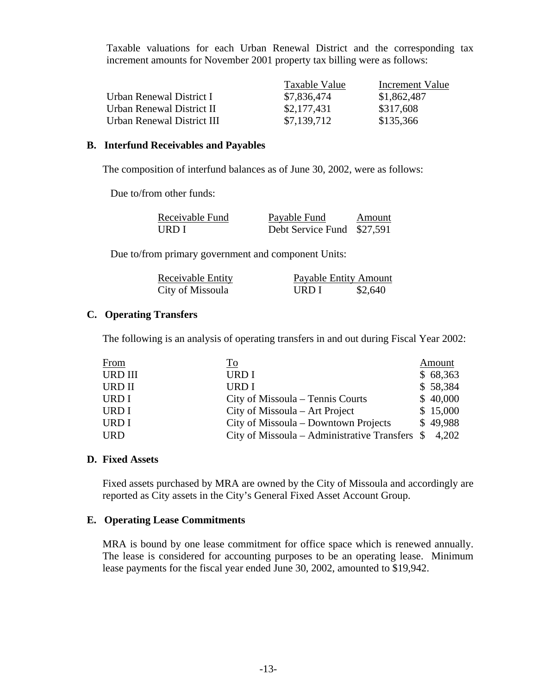Taxable valuations for each Urban Renewal District and the corresponding tax increment amounts for November 2001 property tax billing were as follows:

|                            | Taxable Value | Increment Value |
|----------------------------|---------------|-----------------|
| Urban Renewal District I   | \$7,836,474   | \$1,862,487     |
| Urban Renewal District II  | \$2,177,431   | \$317,608       |
| Urban Renewal District III | \$7,139,712   | \$135,366       |

#### **B. Interfund Receivables and Payables**

The composition of interfund balances as of June 30, 2002, were as follows:

Due to/from other funds:

| Receivable Fund | Payable Fund               | Amount |
|-----------------|----------------------------|--------|
| URD I           | Debt Service Fund \$27,591 |        |

Due to/from primary government and component Units:

| Receivable Entity | Payable Entity Amount |         |
|-------------------|-----------------------|---------|
| City of Missoula  | URD I                 | \$2,640 |

#### **C. Operating Transfers**

The following is an analysis of operating transfers in and out during Fiscal Year 2002:

| <b>From</b>    | To                                              | Amount   |
|----------------|-------------------------------------------------|----------|
| <b>URD III</b> | URD I                                           | \$68,363 |
| <b>URD II</b>  | <b>URDI</b>                                     | \$58,384 |
| URD I          | City of Missoula – Tennis Courts                | \$40,000 |
| URD I          | City of Missoula – Art Project                  | \$15,000 |
| URD I          | City of Missoula – Downtown Projects            | \$49,988 |
| <b>URD</b>     | City of Missoula – Administrative Transfers $\$ | 4,202    |

#### **D. Fixed Assets**

Fixed assets purchased by MRA are owned by the City of Missoula and accordingly are reported as City assets in the City's General Fixed Asset Account Group.

#### **E. Operating Lease Commitments**

MRA is bound by one lease commitment for office space which is renewed annually. The lease is considered for accounting purposes to be an operating lease. Minimum lease payments for the fiscal year ended June 30, 2002, amounted to \$19,942.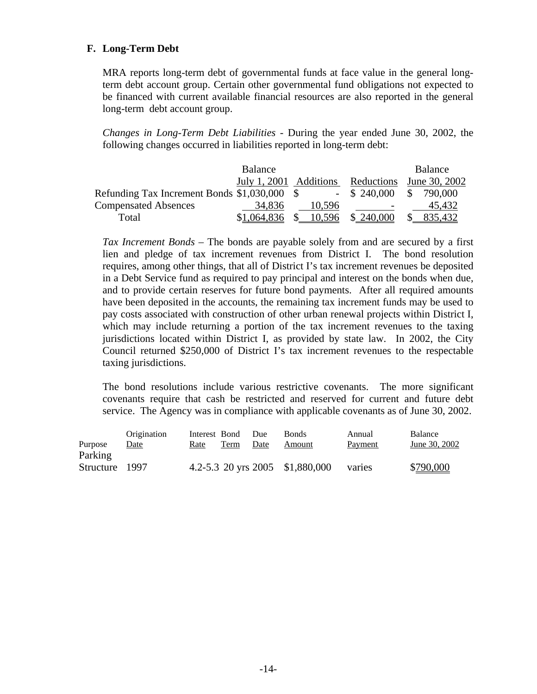## **F. Long-Term Debt**

MRA reports long-term debt of governmental funds at face value in the general longterm debt account group. Certain other governmental fund obligations not expected to be financed with current available financial resources are also reported in the general long-term debt account group.

*Changes in Long-Term Debt Liabilities* - During the year ended June 30, 2002, the following changes occurred in liabilities reported in long-term debt:

|                                              | Balance                           |        |                          | Balance       |
|----------------------------------------------|-----------------------------------|--------|--------------------------|---------------|
|                                              | July 1, 2001 Additions Reductions |        |                          | June 30, 2002 |
| Refunding Tax Increment Bonds \$1,030,000 \$ |                                   |        | $-$ \$ 240,000           | S.<br>790.000 |
| <b>Compensated Absences</b>                  | 34,836                            | 10,596 | $\overline{\phantom{0}}$ | 45.432        |
| Total                                        | \$1,064,836                       | 10,596 | \$240,000                | 835.432       |

*Tax Increment Bonds* – The bonds are payable solely from and are secured by a first lien and pledge of tax increment revenues from District I. The bond resolution requires, among other things, that all of District I's tax increment revenues be deposited in a Debt Service fund as required to pay principal and interest on the bonds when due, and to provide certain reserves for future bond payments. After all required amounts have been deposited in the accounts, the remaining tax increment funds may be used to pay costs associated with construction of other urban renewal projects within District I, which may include returning a portion of the tax increment revenues to the taxing jurisdictions located within District I, as provided by state law. In 2002, the City Council returned \$250,000 of District I's tax increment revenues to the respectable taxing jurisdictions.

The bond resolutions include various restrictive covenants. The more significant covenants require that cash be restricted and reserved for current and future debt service. The Agency was in compliance with applicable covenants as of June 30, 2002.

| Purpose                   | Origination<br>Date | Rate | Interest Bond Due<br>Term | Date | <b>Bonds</b><br>Amount          | Annual<br>Payment | Balance<br>June 30, 2002 |
|---------------------------|---------------------|------|---------------------------|------|---------------------------------|-------------------|--------------------------|
| Parking<br>Structure 1997 |                     |      |                           |      | 4.2-5.3 20 yrs 2005 \$1,880,000 | varies            | \$790,000                |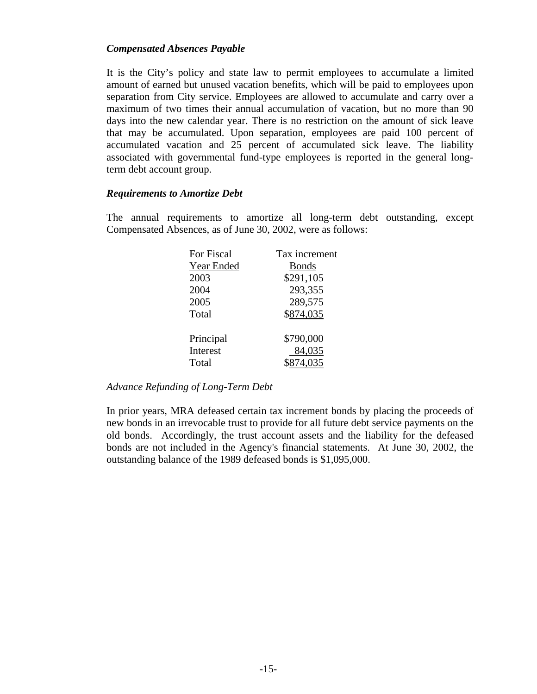#### *Compensated Absences Payable*

It is the City's policy and state law to permit employees to accumulate a limited amount of earned but unused vacation benefits, which will be paid to employees upon separation from City service. Employees are allowed to accumulate and carry over a maximum of two times their annual accumulation of vacation, but no more than 90 days into the new calendar year. There is no restriction on the amount of sick leave that may be accumulated. Upon separation, employees are paid 100 percent of accumulated vacation and 25 percent of accumulated sick leave. The liability associated with governmental fund-type employees is reported in the general longterm debt account group.

#### *Requirements to Amortize Debt*

The annual requirements to amortize all long-term debt outstanding, except Compensated Absences, as of June 30, 2002, were as follows:

| For Fiscal | Tax increment |
|------------|---------------|
| Year Ended | <b>B</b> onds |
| 2003       | \$291,105     |
| 2004       | 293,355       |
| 2005       | 289,575       |
| Total      | \$874,035     |
|            |               |
| Principal  | \$790,000     |
| Interest   | 84,035        |
| Total      | '4,035        |

#### *Advance Refunding of Long-Term Debt*

In prior years, MRA defeased certain tax increment bonds by placing the proceeds of new bonds in an irrevocable trust to provide for all future debt service payments on the old bonds. Accordingly, the trust account assets and the liability for the defeased bonds are not included in the Agency's financial statements. At June 30, 2002, the outstanding balance of the 1989 defeased bonds is \$1,095,000.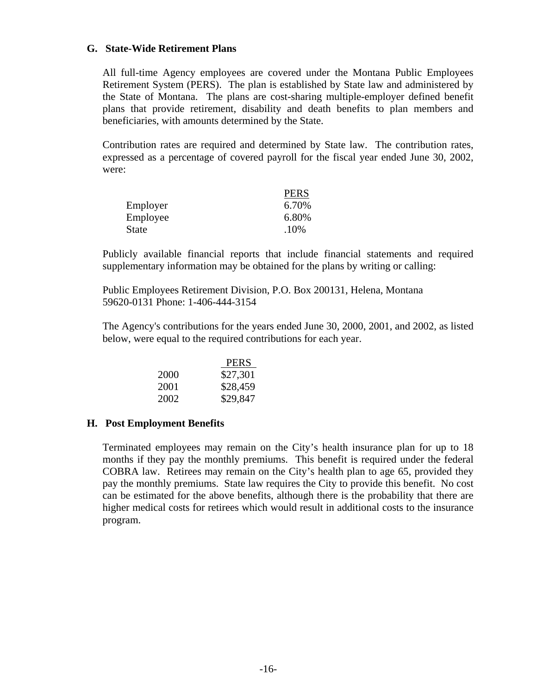#### **G. State-Wide Retirement Plans**

All full-time Agency employees are covered under the Montana Public Employees Retirement System (PERS). The plan is established by State law and administered by the State of Montana. The plans are cost-sharing multiple-employer defined benefit plans that provide retirement, disability and death benefits to plan members and beneficiaries, with amounts determined by the State.

Contribution rates are required and determined by State law. The contribution rates, expressed as a percentage of covered payroll for the fiscal year ended June 30, 2002, were:

|              | <b>PERS</b> |
|--------------|-------------|
| Employer     | 6.70%       |
| Employee     | 6.80%       |
| <b>State</b> | .10%        |

Publicly available financial reports that include financial statements and required supplementary information may be obtained for the plans by writing or calling:

Public Employees Retirement Division, P.O. Box 200131, Helena, Montana 59620-0131 Phone: 1-406-444-3154

The Agency's contributions for the years ended June 30, 2000, 2001, and 2002, as listed below, were equal to the required contributions for each year.

|      | <b>PERS</b> |
|------|-------------|
| 2000 | \$27,301    |
| 2001 | \$28,459    |
| 2002 | \$29,847    |

#### **H. Post Employment Benefits**

Terminated employees may remain on the City's health insurance plan for up to 18 months if they pay the monthly premiums. This benefit is required under the federal COBRA law. Retirees may remain on the City's health plan to age 65, provided they pay the monthly premiums. State law requires the City to provide this benefit. No cost can be estimated for the above benefits, although there is the probability that there are higher medical costs for retirees which would result in additional costs to the insurance program.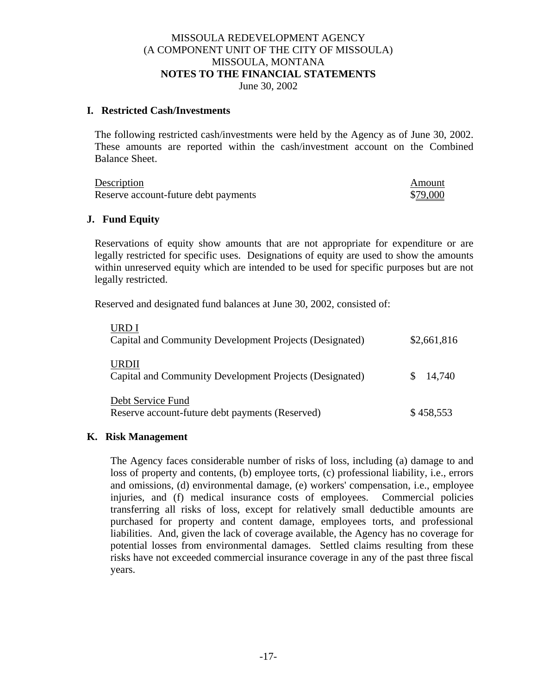#### MISSOULA REDEVELOPMENT AGENCY (A COMPONENT UNIT OF THE CITY OF MISSOULA) MISSOULA, MONTANA **NOTES TO THE FINANCIAL STATEMENTS** June 30, 2002

#### **I. Restricted Cash/Investments**

The following restricted cash/investments were held by the Agency as of June 30, 2002. These amounts are reported within the cash/investment account on the Combined Balance Sheet.

| Description                          | Amount   |
|--------------------------------------|----------|
| Reserve account-future debt payments | \$79,000 |

#### **J. Fund Equity**

Reservations of equity show amounts that are not appropriate for expenditure or are legally restricted for specific uses. Designations of equity are used to show the amounts within unreserved equity which are intended to be used for specific purposes but are not legally restricted.

Reserved and designated fund balances at June 30, 2002, consisted of:

| URD I<br>Capital and Community Development Projects (Designated)     | \$2,661,816 |
|----------------------------------------------------------------------|-------------|
| URDII<br>Capital and Community Development Projects (Designated)     | 14,740      |
| Debt Service Fund<br>Reserve account-future debt payments (Reserved) | \$458,553   |

#### **K. Risk Management**

The Agency faces considerable number of risks of loss, including (a) damage to and loss of property and contents, (b) employee torts, (c) professional liability, i.e., errors and omissions, (d) environmental damage, (e) workers' compensation, i.e., employee injuries, and (f) medical insurance costs of employees. Commercial policies transferring all risks of loss, except for relatively small deductible amounts are purchased for property and content damage, employees torts, and professional liabilities. And, given the lack of coverage available, the Agency has no coverage for potential losses from environmental damages. Settled claims resulting from these risks have not exceeded commercial insurance coverage in any of the past three fiscal years.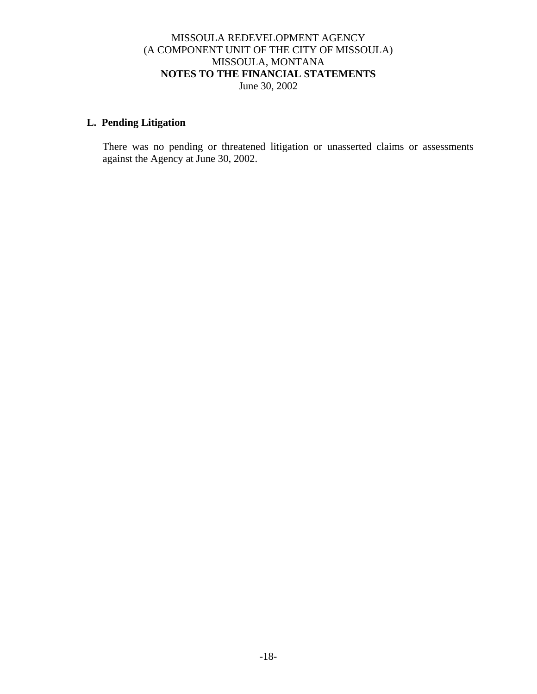## MISSOULA REDEVELOPMENT AGENCY (A COMPONENT UNIT OF THE CITY OF MISSOULA) MISSOULA, MONTANA **NOTES TO THE FINANCIAL STATEMENTS** June 30, 2002

# **L. Pending Litigation**

There was no pending or threatened litigation or unasserted claims or assessments against the Agency at June 30, 2002.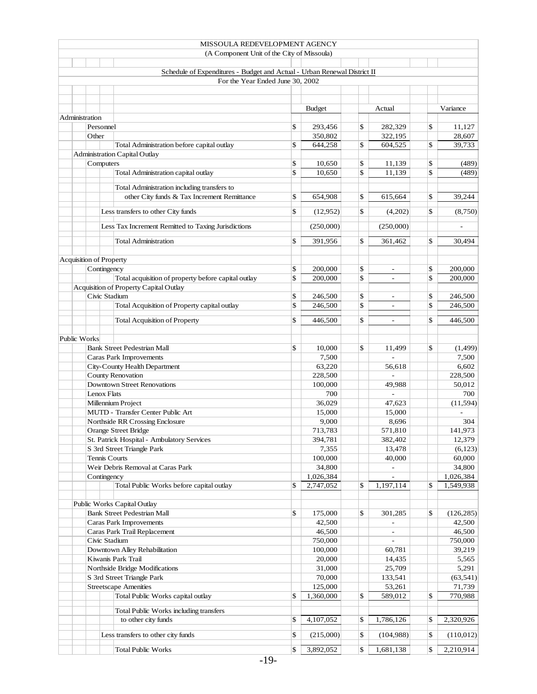|                                |               | MISSOULA REDEVELOPMENT AGENCY                                            |                              |                                |                  |
|--------------------------------|---------------|--------------------------------------------------------------------------|------------------------------|--------------------------------|------------------|
|                                |               | (A Component Unit of the City of Missoula)                               |                              |                                |                  |
|                                |               |                                                                          |                              |                                |                  |
|                                |               | Schedule of Expenditures - Budget and Actual - Urban Renewal District II |                              |                                |                  |
|                                |               | For the Year Ended June 30, 2002                                         |                              |                                |                  |
|                                |               |                                                                          |                              |                                |                  |
|                                |               |                                                                          |                              |                                |                  |
|                                |               |                                                                          | <b>Budget</b>                | Actual                         | Variance         |
| Administration                 |               |                                                                          |                              |                                |                  |
|                                | Personnel     |                                                                          | \$<br>293,456                | \$<br>282,329                  | \$<br>11,127     |
|                                | Other         |                                                                          | 350,802                      | 322,195                        | 28,607           |
|                                |               | Total Administration before capital outlay                               | \$<br>644,258                | \$<br>604,525                  | \$<br>39,733     |
|                                |               | <b>Administration Capital Outlay</b>                                     |                              |                                |                  |
|                                | Computers     |                                                                          | \$<br>10,650                 | \$<br>11,139                   | \$<br>(489)      |
|                                |               | Total Administration capital outlay                                      | \$<br>10,650                 | \$<br>11,139                   | \$<br>(489)      |
|                                |               |                                                                          |                              |                                |                  |
|                                |               | Total Administration including transfers to                              |                              |                                |                  |
|                                |               | other City funds & Tax Increment Remittance                              | \$<br>654,908                | \$<br>615,664                  | \$<br>39,244     |
|                                |               | Less transfers to other City funds                                       | \$<br>(12,952)               | \$<br>(4,202)                  | \$<br>(8,750)    |
|                                |               |                                                                          |                              |                                |                  |
|                                |               | Less Tax Increment Remitted to Taxing Jurisdictions                      | (250,000)                    | (250,000)                      | L,               |
|                                |               |                                                                          |                              |                                |                  |
|                                |               | <b>Total Administration</b>                                              | \$<br>391,956                | \$<br>361,462                  | \$<br>30,494     |
|                                |               |                                                                          |                              |                                |                  |
| <b>Acquisition of Property</b> |               |                                                                          |                              |                                |                  |
|                                | Contingency   |                                                                          | \$<br>200,000                | \$                             | \$<br>200,000    |
|                                |               | Total acquisition of property before capital outlay                      | \$<br>200,000                | \$<br>$\overline{\phantom{a}}$ | \$<br>200,000    |
|                                |               | Acquisition of Property Capital Outlay                                   |                              |                                |                  |
|                                | Civic Stadium |                                                                          | \$<br>246,500                | \$                             | \$<br>246,500    |
|                                |               | Total Acquisition of Property capital outlay                             | \$<br>246,500                | \$<br>$\overline{\phantom{a}}$ | \$<br>246,500    |
|                                |               |                                                                          |                              |                                |                  |
|                                |               | <b>Total Acquisition of Property</b>                                     | \$<br>446,500                | \$<br>$\overline{\phantom{a}}$ | \$<br>446,500    |
|                                |               |                                                                          |                              |                                |                  |
| Public Works                   |               |                                                                          |                              |                                |                  |
|                                |               | <b>Bank Street Pedestrian Mall</b>                                       | \$<br>10,000                 | \$<br>11,499                   | \$<br>(1, 499)   |
|                                |               | Caras Park Improvements                                                  | 7,500                        |                                | 7,500            |
| City-County Health Department  |               | 63,220                                                                   | 56,618                       | 6,602                          |                  |
|                                |               | <b>County Renovation</b>                                                 | 228,500                      | $\overline{a}$                 | 228,500          |
|                                |               | <b>Downtown Street Renovations</b>                                       | 100,000                      | 49,988                         | 50.012           |
|                                | Lenox Flats   |                                                                          | 700                          |                                | 700              |
|                                |               | Millennium Project                                                       | 36,029                       | 47,623                         | (11, 594)        |
|                                |               | MUTD - Transfer Center Public Art                                        | 15,000                       | 15,000                         |                  |
|                                |               | Northside RR Crossing Enclosure                                          | 9,000                        | 8,696                          | 304              |
|                                |               | Orange Street Bridge                                                     | 713,783                      | 571,810                        | 141,973          |
|                                |               | St. Patrick Hospital - Ambulatory Services                               | 394,781                      | 382,402                        | 12,379           |
|                                |               | S 3rd Street Triangle Park                                               | 7,355                        | 13,478                         | (6,123)          |
|                                | Tennis Courts |                                                                          | 100,000                      | 40,000                         | 60,000           |
|                                |               | Weir Debris Removal at Caras Park                                        | 34,800                       | $\overline{\phantom{a}}$       | 34,800           |
|                                | Contingency   |                                                                          | 1,026,384                    |                                | 1,026,384        |
|                                |               | Total Public Works before capital outlay                                 | \$<br>2,747,052              | \$<br>1,197,114                | \$<br>1,549,938  |
|                                |               |                                                                          |                              |                                |                  |
|                                |               | Public Works Capital Outlay                                              |                              |                                |                  |
|                                |               | <b>Bank Street Pedestrian Mall</b>                                       | \$<br>175,000                | \$<br>301,285                  | \$<br>(126, 285) |
|                                |               | Caras Park Improvements                                                  | 42,500                       |                                | 42,500           |
|                                |               | Caras Park Trail Replacement                                             | 46,500                       |                                | 46,500           |
|                                | Civic Stadium |                                                                          |                              |                                | 750,000          |
|                                |               |                                                                          | 750,000                      | $\overline{a}$                 |                  |
|                                |               | Downtown Alley Rehabilitation                                            | 100,000                      | 60,781                         | 39,219           |
|                                |               | Kiwanis Park Trail                                                       | 20,000                       | 14,435                         | 5,565            |
|                                |               | Northside Bridge Modifications                                           | 31,000                       | 25,709                         | 5,291            |
|                                |               | S 3rd Street Triangle Park                                               | 70,000                       | 133,541                        | (63, 541)        |
|                                |               | <b>Streetscape Amenities</b>                                             | 125,000                      | 53,261                         | 71,739           |
|                                |               | Total Public Works capital outlay                                        | \$<br>$\overline{1,360,000}$ | \$<br>589,012                  | \$<br>770,988    |
|                                |               | Total Public Works including transfers                                   |                              |                                |                  |
|                                |               | to other city funds                                                      | \$<br>4,107,052              | \$<br>1,786,126                | \$<br>2,320,926  |
|                                |               |                                                                          |                              |                                |                  |
|                                |               | Less transfers to other city funds                                       | \$<br>(215,000)              | \$<br>(104,988)                | \$<br>(110, 012) |
|                                |               |                                                                          |                              |                                |                  |
|                                |               | <b>Total Public Works</b>                                                | \$<br>3,892,052              | \$<br>1,681,138                | \$<br>2,210,914  |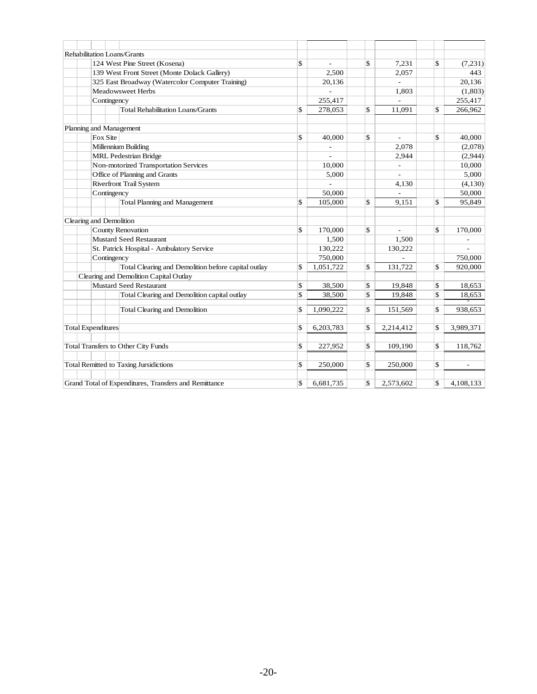|                           |             | Rehabilitation Loans/Grants                           |                                    |                          |                 |
|---------------------------|-------------|-------------------------------------------------------|------------------------------------|--------------------------|-----------------|
|                           |             | 124 West Pine Street (Kosena)                         | \$<br>$\qquad \qquad \blacksquare$ | \$<br>7,231              | \$<br>(7,231)   |
|                           |             | 139 West Front Street (Monte Dolack Gallery)          | 2,500                              | 2,057                    | 443             |
|                           |             | 325 East Broadway (Watercolor Computer Training)      | 20,136                             |                          | 20,136          |
|                           |             | Meadowsweet Herbs                                     |                                    | 1,803                    | (1,803)         |
|                           | Contingency |                                                       | 255,417                            |                          | 255,417         |
|                           |             | <b>Total Rehabilitation Loans/Grants</b>              | \$<br>278,053                      | \$<br>11,091             | \$<br>266,962   |
|                           |             | Planning and Management                               |                                    |                          |                 |
|                           | Fox Site    |                                                       | \$<br>40,000                       | \$<br>$\sim$             | \$<br>40,000    |
|                           |             | Millennium Building                                   |                                    | 2,078                    | (2,078)         |
|                           |             | <b>MRL</b> Pedestrian Bridge                          |                                    | 2,944                    | (2,944)         |
|                           |             | Non-motorized Transportation Services                 | 10.000                             | $\overline{\phantom{a}}$ | 10,000          |
|                           |             | Office of Planning and Grants                         | 5,000                              | $\overline{\phantom{a}}$ | 5,000           |
|                           |             | <b>Riverfront Trail System</b>                        |                                    | 4,130                    | (4, 130)        |
|                           | Contingency |                                                       | 50,000                             |                          | 50,000          |
|                           |             | <b>Total Planning and Management</b>                  | \$<br>105,000                      | \$<br>9,151              | \$<br>95,849    |
|                           |             |                                                       |                                    |                          |                 |
|                           |             | Clearing and Demolition                               |                                    |                          |                 |
|                           |             | <b>County Renovation</b>                              | \$<br>170,000                      | \$                       | \$<br>170,000   |
|                           |             | <b>Mustard Seed Restaurant</b>                        | 1,500                              | 1,500                    |                 |
|                           |             | St. Patrick Hospital - Ambulatory Service             | 130,222                            | 130,222                  |                 |
|                           | Contingency |                                                       | 750,000                            |                          | 750,000         |
|                           |             | Total Clearing and Demolition before capital outlay   | \$<br>1,051,722                    | \$<br>131,722            | \$<br>920,000   |
|                           |             | Clearing and Demolition Capital Outlay                |                                    |                          |                 |
|                           |             | <b>Mustard Seed Restaurant</b>                        | \$<br>38,500                       | \$<br>19,848             | \$<br>18,653    |
|                           |             | Total Clearing and Demolition capital outlay          | \$<br>38,500                       | \$<br>19,848             | \$<br>18,653    |
|                           |             | <b>Total Clearing and Demolition</b>                  | \$<br>1,090,222                    | \$<br>151,569            | \$<br>938,653   |
| <b>Total Expenditures</b> |             |                                                       | \$<br>6,203,783                    | \$<br>2,214,412          | \$<br>3,989,371 |
|                           |             |                                                       |                                    |                          |                 |
|                           |             | <b>Total Transfers to Other City Funds</b>            | \$<br>227,952                      | \$<br>109,190            | \$<br>118,762   |
|                           |             |                                                       |                                    |                          |                 |
|                           |             | Total Remitted to Taxing Jursidictions                | \$<br>250,000                      | \$<br>250,000            | \$              |
|                           |             | Grand Total of Expenditures, Transfers and Remittance | \$<br>6,681,735                    | \$<br>2,573,602          | \$<br>4,108,133 |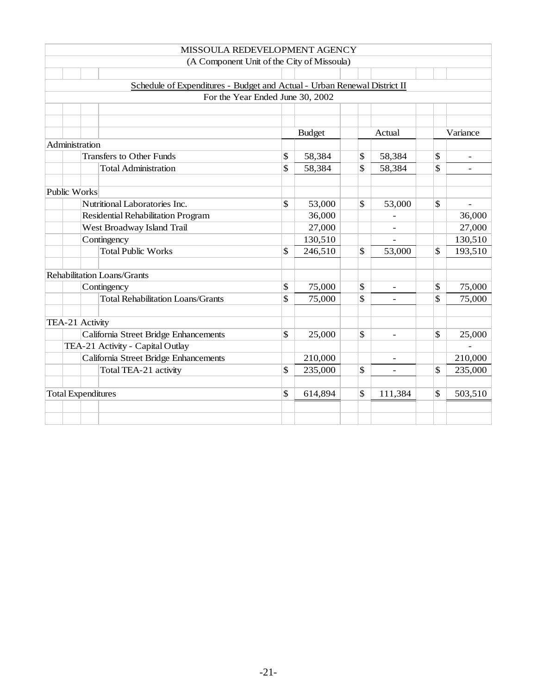|                                                                          | MISSOULA REDEVELOPMENT AGENCY              |    |               |                           |                          |    |          |  |  |
|--------------------------------------------------------------------------|--------------------------------------------|----|---------------|---------------------------|--------------------------|----|----------|--|--|
|                                                                          | (A Component Unit of the City of Missoula) |    |               |                           |                          |    |          |  |  |
|                                                                          |                                            |    |               |                           |                          |    |          |  |  |
| Schedule of Expenditures - Budget and Actual - Urban Renewal District II |                                            |    |               |                           |                          |    |          |  |  |
|                                                                          | For the Year Ended June 30, 2002           |    |               |                           |                          |    |          |  |  |
|                                                                          |                                            |    |               |                           |                          |    |          |  |  |
|                                                                          |                                            |    |               |                           |                          |    |          |  |  |
|                                                                          |                                            |    | <b>Budget</b> |                           | Actual                   |    | Variance |  |  |
|                                                                          | Administration                             |    |               |                           |                          |    |          |  |  |
|                                                                          | <b>Transfers to Other Funds</b>            | \$ | 58,384        | \$                        | 58,384                   | \$ |          |  |  |
|                                                                          | <b>Total Administration</b>                | \$ | 58,384        | \$                        | 58,384                   | \$ |          |  |  |
|                                                                          |                                            |    |               |                           |                          |    |          |  |  |
|                                                                          | <b>Public Works</b>                        |    |               |                           |                          |    |          |  |  |
|                                                                          | Nutritional Laboratories Inc.              | \$ | 53,000        | \$                        | 53,000                   | \$ |          |  |  |
|                                                                          | Residential Rehabilitation Program         |    | 36,000        |                           | $\overline{a}$           |    | 36,000   |  |  |
|                                                                          | West Broadway Island Trail                 |    | 27,000        |                           |                          |    | 27,000   |  |  |
|                                                                          | Contingency                                |    | 130,510       |                           |                          |    | 130,510  |  |  |
|                                                                          | <b>Total Public Works</b>                  | \$ | 246,510       | \$                        | 53,000                   | \$ | 193,510  |  |  |
|                                                                          |                                            |    |               |                           |                          |    |          |  |  |
|                                                                          | Rehabilitation Loans/Grants                |    |               |                           |                          |    |          |  |  |
|                                                                          | Contingency                                | \$ | 75,000        | $\boldsymbol{\mathsf{S}}$ | $\overline{\phantom{a}}$ | \$ | 75,000   |  |  |
|                                                                          | <b>Total Rehabilitation Loans/Grants</b>   | \$ | 75,000        | \$                        |                          | \$ | 75,000   |  |  |
|                                                                          |                                            |    |               |                           |                          |    |          |  |  |
|                                                                          | TEA-21 Activity                            |    |               |                           |                          |    |          |  |  |
|                                                                          | California Street Bridge Enhancements      | \$ | 25,000        | \$                        |                          | \$ | 25,000   |  |  |
|                                                                          | TEA-21 Activity - Capital Outlay           |    |               |                           |                          |    |          |  |  |
|                                                                          | California Street Bridge Enhancements      |    | 210,000       |                           | $\overline{\phantom{a}}$ |    | 210,000  |  |  |
|                                                                          | Total TEA-21 activity                      | \$ | 235,000       | \$                        |                          | \$ | 235,000  |  |  |
|                                                                          |                                            |    |               |                           |                          |    |          |  |  |
|                                                                          | <b>Total Expenditures</b>                  | \$ | 614,894       | \$                        | 111,384                  | \$ | 503,510  |  |  |
|                                                                          |                                            |    |               |                           |                          |    |          |  |  |
|                                                                          |                                            |    |               |                           |                          |    |          |  |  |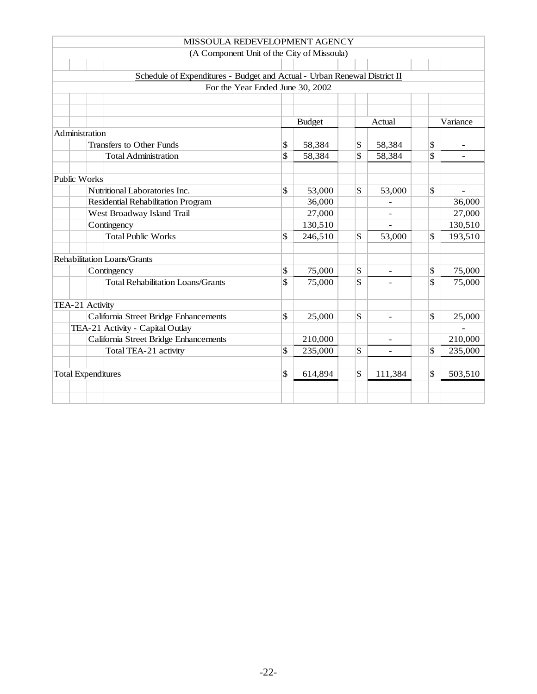|                                                                          | MISSOULA REDEVELOPMENT AGENCY              |              |               |              |                          |    |                          |  |  |
|--------------------------------------------------------------------------|--------------------------------------------|--------------|---------------|--------------|--------------------------|----|--------------------------|--|--|
|                                                                          | (A Component Unit of the City of Missoula) |              |               |              |                          |    |                          |  |  |
|                                                                          |                                            |              |               |              |                          |    |                          |  |  |
| Schedule of Expenditures - Budget and Actual - Urban Renewal District II |                                            |              |               |              |                          |    |                          |  |  |
|                                                                          | For the Year Ended June 30, 2002           |              |               |              |                          |    |                          |  |  |
|                                                                          |                                            |              |               |              |                          |    |                          |  |  |
|                                                                          |                                            |              |               |              |                          |    |                          |  |  |
|                                                                          |                                            |              | <b>Budget</b> |              | Actual                   |    | Variance                 |  |  |
|                                                                          | Administration                             |              |               |              |                          |    |                          |  |  |
|                                                                          | <b>Transfers to Other Funds</b>            | $\mathbb{S}$ | 58,384        | \$           | 58,384                   | \$ | $\overline{\phantom{a}}$ |  |  |
|                                                                          | <b>Total Administration</b>                | \$           | 58,384        | \$           | 58,384                   | \$ |                          |  |  |
|                                                                          |                                            |              |               |              |                          |    |                          |  |  |
|                                                                          | Public Works                               |              |               |              |                          |    |                          |  |  |
|                                                                          | Nutritional Laboratories Inc.              | \$           | 53,000        | $\mathbb{S}$ | 53,000                   | \$ |                          |  |  |
|                                                                          | Residential Rehabilitation Program         |              | 36,000        |              |                          |    | 36,000                   |  |  |
|                                                                          | West Broadway Island Trail                 |              | 27,000        |              | $\qquad \qquad -$        |    | 27,000                   |  |  |
|                                                                          | Contingency                                |              | 130,510       |              |                          |    | 130,510                  |  |  |
|                                                                          | <b>Total Public Works</b>                  | \$           | 246,510       | \$           | 53,000                   | \$ | 193,510                  |  |  |
|                                                                          |                                            |              |               |              |                          |    |                          |  |  |
|                                                                          | Rehabilitation Loans/Grants                |              |               |              |                          |    |                          |  |  |
|                                                                          | Contingency                                | \$           | 75,000        | \$           | ÷                        | \$ | 75,000                   |  |  |
|                                                                          | <b>Total Rehabilitation Loans/Grants</b>   | \$           | 75,000        | \$           |                          | \$ | 75,000                   |  |  |
|                                                                          |                                            |              |               |              |                          |    |                          |  |  |
|                                                                          | TEA-21 Activity                            |              |               |              |                          |    |                          |  |  |
|                                                                          | California Street Bridge Enhancements      | \$           | 25,000        | \$           | $\overline{\phantom{a}}$ | \$ | 25,000                   |  |  |
|                                                                          | TEA-21 Activity - Capital Outlay           |              |               |              |                          |    |                          |  |  |
|                                                                          | California Street Bridge Enhancements      | \$           | 210,000       |              | $\overline{\phantom{0}}$ |    | 210,000                  |  |  |
|                                                                          | Total TEA-21 activity                      |              | 235,000       | \$           | $\overline{\phantom{a}}$ | \$ | 235,000                  |  |  |
|                                                                          |                                            | \$           |               | \$           |                          | \$ |                          |  |  |
|                                                                          | <b>Total Expenditures</b>                  |              | 614,894       |              | 111,384                  |    | 503,510                  |  |  |
|                                                                          |                                            |              |               |              |                          |    |                          |  |  |
|                                                                          |                                            |              |               |              |                          |    |                          |  |  |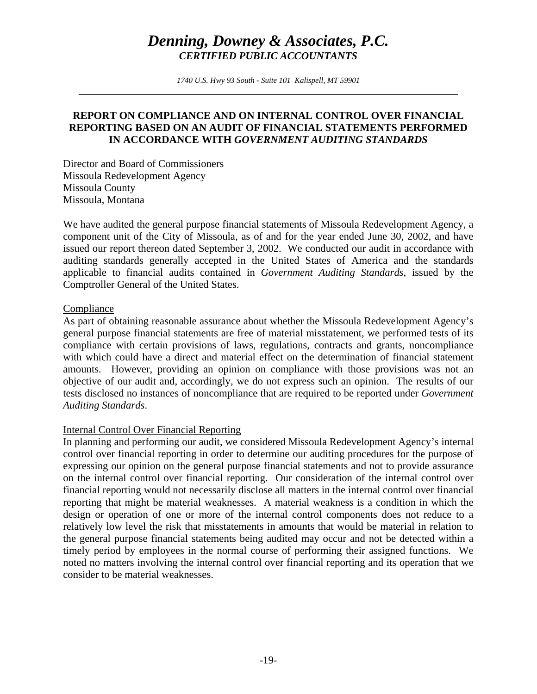*1740 U.S. Hwy 93 South - Suite 101 Kalispell, MT 59901* 

## **REPORT ON COMPLIANCE AND ON INTERNAL CONTROL OVER FINANCIAL REPORTING BASED ON AN AUDIT OF FINANCIAL STATEMENTS PERFORMED IN ACCORDANCE WITH** *GOVERNMENT AUDITING STANDARDS*

Director and Board of Commissioners Missoula Redevelopment Agency Missoula County Missoula, Montana

We have audited the general purpose financial statements of Missoula Redevelopment Agency, a component unit of the City of Missoula, as of and for the year ended June 30, 2002, and have issued our report thereon dated September 3, 2002. We conducted our audit in accordance with auditing standards generally accepted in the United States of America and the standards applicable to financial audits contained in *Government Auditing Standards*, issued by the Comptroller General of the United States.

#### Compliance

As part of obtaining reasonable assurance about whether the Missoula Redevelopment Agency's general purpose financial statements are free of material misstatement, we performed tests of its compliance with certain provisions of laws, regulations, contracts and grants, noncompliance with which could have a direct and material effect on the determination of financial statement amounts. However, providing an opinion on compliance with those provisions was not an objective of our audit and, accordingly, we do not express such an opinion. The results of our tests disclosed no instances of noncompliance that are required to be reported under *Government Auditing Standards*.

# Internal Control Over Financial Reporting

In planning and performing our audit, we considered Missoula Redevelopment Agency's internal control over financial reporting in order to determine our auditing procedures for the purpose of expressing our opinion on the general purpose financial statements and not to provide assurance on the internal control over financial reporting. Our consideration of the internal control over financial reporting would not necessarily disclose all matters in the internal control over financial reporting that might be material weaknesses. A material weakness is a condition in which the design or operation of one or more of the internal control components does not reduce to a relatively low level the risk that misstatements in amounts that would be material in relation to the general purpose financial statements being audited may occur and not be detected within a timely period by employees in the normal course of performing their assigned functions. We noted no matters involving the internal control over financial reporting and its operation that we consider to be material weaknesses.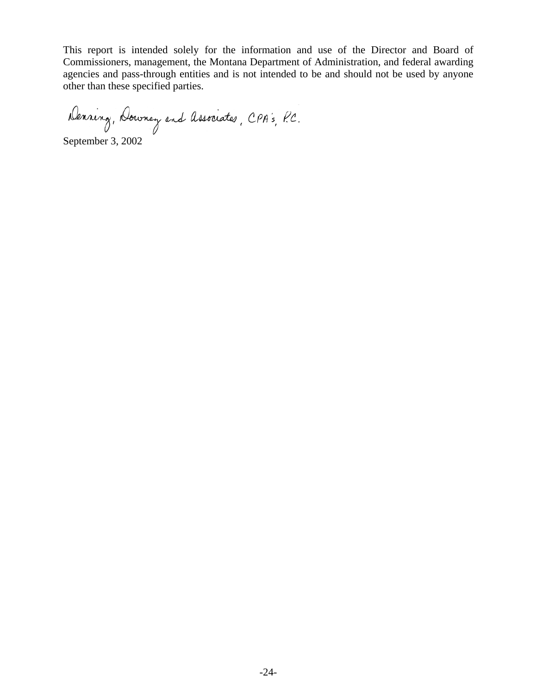This report is intended solely for the information and use of the Director and Board of Commissioners, management, the Montana Department of Administration, and federal awarding agencies and pass-through entities and is not intended to be and should not be used by anyone other than these specified parties.

Denning, Downey and Associates, CPA's, P.C.

September 3, 2002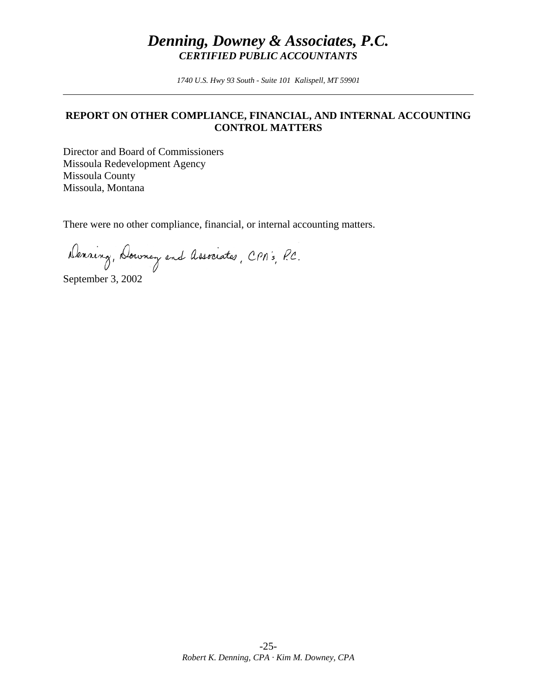*1740 U.S. Hwy 93 South - Suite 101 Kalispell, MT 59901* 

## **REPORT ON OTHER COMPLIANCE, FINANCIAL, AND INTERNAL ACCOUNTING CONTROL MATTERS**

Director and Board of Commissioners Missoula Redevelopment Agency Missoula County Missoula, Montana

There were no other compliance, financial, or internal accounting matters.

Denning, Downey and Associates, CPA's, P.C.

September 3, 2002